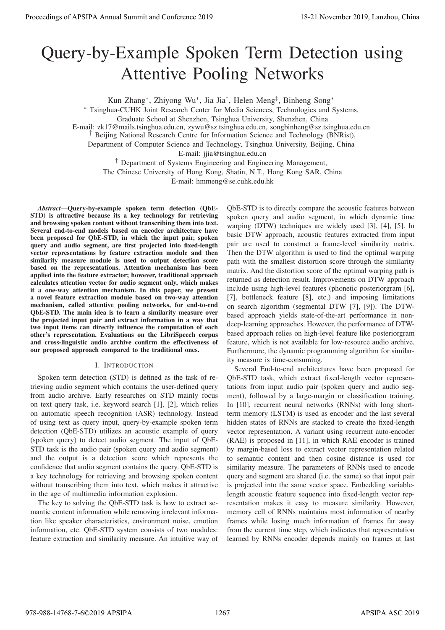# Query-by-Example Spoken Term Detection using Attentive Pooling Networks

Kun Zhang<sup>∗</sup> , Zhiyong Wu<sup>∗</sup> , Jia Jia† , Helen Meng‡ , Binheng Song<sup>∗</sup>

<sup>∗</sup> Tsinghua-CUHK Joint Research Center for Media Sciences, Technologies and Systems,

E-mail: zk17@mails.tsinghua.edu.cn, zywu@sz.tsinghua.edu.cn, songbinheng@sz.tsinghua.edu.cn

† Beijing National Research Centre for Information Science and Technology (BNRist),

Department of Computer Science and Technology, Tsinghua University, Beijing, China

E-mail: jjia@tsinghua.edu.cn

<sup>‡</sup> Department of Systems Engineering and Engineering Management,

The Chinese University of Hong Kong, Shatin, N.T., Hong Kong SAR, China

E-mail: hmmeng@se.cuhk.edu.hk

*Abstract*—Query-by-example spoken term detection (QbE-STD) is attractive because its a key technology for retrieving and browsing spoken content without transcribing them into text. Several end-to-end models based on encoder architecture have been proposed for QbE-STD, in which the input pair, spoken query and audio segment, are first projected into fixed-length vector representations by feature extraction module and then similarity measure module is used to output detection score based on the representations. Attention mechanism has been applied into the feature extractor; however, traditional approach calculates attention vector for audio segment only, which makes it a one-way attention mechanism. In this paper, we present a novel feature extraction module based on two-way attention mechanism, called attentive pooling networks, for end-to-end QbE-STD. The main idea is to learn a similarity measure over the projected input pair and extract information in a way that two input items can directly influence the computation of each other's representation. Evaluations on the LibriSpeech corpus and cross-linguistic audio archive confirm the effectiveness of our proposed approach compared to the traditional ones.

#### I. INTRODUCTION

Spoken term detection (STD) is defined as the task of retrieving audio segment which contains the user-defined query from audio archive. Early researches on STD mainly focus on text query task, i.e. keyword search [1], [2], which relies on automatic speech recognition (ASR) technology. Instead of using text as query input, query-by-example spoken term detection (QbE-STD) utilizes an acoustic example of query (spoken query) to detect audio segment. The input of QbE-STD task is the audio pair (spoken query and audio segment) and the output is a detection score which represents the confidence that audio segment contains the query. QbE-STD is a key technology for retrieving and browsing spoken content without transcribing them into text, which makes it attractive in the age of multimedia information explosion.

The key to solving the QbE-STD task is how to extract semantic content information while removing irrelevant information like speaker characteristics, environment noise, emotion information, etc. QbE-STD system consists of two modules: feature extraction and similarity measure. An intuitive way of

QbE-STD is to directly compare the acoustic features between spoken query and audio segment, in which dynamic time warping (DTW) techniques are widely used [3], [4], [5]. In basic DTW approach, acoustic features extracted from input pair are used to construct a frame-level similarity matrix. Then the DTW algorithm is used to find the optimal warping path with the smallest distortion score through the similarity matrix. And the distortion score of the optimal warping path is returned as detection result. Improvements on DTW approach include using high-level features (phonetic posteriorgram [6], [7], bottleneck feature [8], etc.) and imposing limitations on search algorithm (segmental DTW [7], [9]). The DTWbased approach yields state-of-the-art performance in nondeep-learning approaches. However, the performance of DTWbased approach relies on high-level feature like posteriorgram feature, which is not available for low-resource audio archive. Furthermore, the dynamic programming algorithm for similarity measure is time-consuming.

Several End-to-end architectures have been proposed for QbE-STD task, which extract fixed-length vector representations from input audio pair (spoken query and audio segment), followed by a large-margin or classification training. In [10], recurrent neural networks (RNNs) with long shortterm memory (LSTM) is used as encoder and the last several hidden states of RNNs are stacked to create the fixed-length vector representation. A variant using recurrent auto-encoder (RAE) is proposed in [11], in which RAE encoder is trained by margin-based loss to extract vector representation related to semantic content and then cosine distance is used for similarity measure. The parameters of RNNs used to encode query and segment are shared (i.e. the same) so that input pair is projected into the same vector space. Embedding variablelength acoustic feature sequence into fixed-length vector representation makes it easy to measure similarity. However, memory cell of RNNs maintains most information of nearby frames while losing much information of frames far away from the current time step, which indicates that representation learned by RNNs encoder depends mainly on frames at last **Proceedings of APSIPA Annual Summit at Conference 2019**<br> **CUCITY CV CONFIDENT CONFIDENT CONFIDENT CONFIDENT CONFIDENT CONFIDENT CONFIDENT CONFIDENT CONFIDENT CONFIDENT CONFIDENT CONFIDENT CONF** 

Graduate School at Shenzhen, Tsinghua University, Shenzhen, China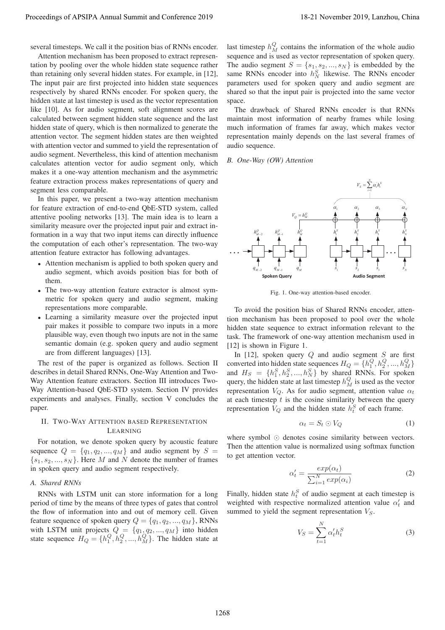several timesteps. We call it the position bias of RNNs encoder.

Attention mechanism has been proposed to extract representation by pooling over the whole hidden state sequence rather than retaining only several hidden states. For example, in [12], The input pair are first projected into hidden state sequences respectively by shared RNNs encoder. For spoken query, the hidden state at last timestep is used as the vector representation like [10]. As for audio segment, soft alignment scores are calculated between segment hidden state sequence and the last hidden state of query, which is then normalized to generate the attention vector. The segment hidden states are then weighted with attention vector and summed to yield the representation of audio segment. Nevertheless, this kind of attention mechanism calculates attention vector for audio segment only, which makes it a one-way attention mechanism and the asymmetric feature extraction process makes representations of query and segment less comparable. Proceedings of APSIPA Annual Summit and Conference 2019.<br>
Conference 2019, Lanzhou, China 2019, Lanzhou, China 2019, Lanzhou, China 2019, Lanzhou, China 2019, Lanzhou, China 2019, Lanzhou, China 2019, Lanzhou, China 2019,

In this paper, we present a two-way attention mechanism for feature extraction of end-to-end QbE-STD system, called attentive pooling networks [13]. The main idea is to learn a similarity measure over the projected input pair and extract information in a way that two input items can directly influence the computation of each other's representation. The two-way attention feature extractor has following advantages.

- Attention mechanism is applied to both spoken query and audio segment, which avoids position bias for both of them.
- The two-way attention feature extractor is almost symmetric for spoken query and audio segment, making representations more comparable.
- Learning a similarity measure over the projected input pair makes it possible to compare two inputs in a more plausible way, even though two inputs are not in the same semantic domain (e.g. spoken query and audio segment are from different languages) [13].

The rest of the paper is organized as follows. Section II describes in detail Shared RNNs, One-Way Attention and Two-Way Attention feature extractors. Section III introduces Two-Way Attention-based QbE-STD system. Section IV provides experiments and analyses. Finally, section V concludes the paper.

#### II. TWO-WAY ATTENTION BASED REPRESENTATION LEARNING

For notation, we denote spoken query by acoustic feature sequence  $Q = \{q_1, q_2, ..., q_M\}$  and audio segment by  $S =$  $\{s_1, s_2, ..., s_N\}$ . Here M and N denote the number of frames in spoken query and audio segment respectively.

#### *A. Shared RNNs*

RNNs with LSTM unit can store information for a long period of time by the means of three types of gates that control the flow of information into and out of memory cell. Given feature sequence of spoken query  $Q = \{q_1, q_2, ..., q_M\}$ , RNNs with LSTM unit projects  $Q = \{q_1, q_2, ..., q_M\}$  into hidden state sequence  $H_Q = \{h_1^Q, h_2^Q, ..., h_M^Q\}$ . The hidden state at

last timestep  $h_M^Q$  contains the information of the whole audio sequence and is used as vector representation of spoken query. The audio segment  $S = \{s_1, s_2, ..., s_N\}$  is embedded by the same RNNs encoder into  $h_N^S$  likewise. The RNNs encoder parameters used for spoken query and audio segment are shared so that the input pair is projected into the same vector space.

The drawback of Shared RNNs encoder is that RNNs maintain most information of nearby frames while losing much information of frames far away, which makes vector representation mainly depends on the last several frames of audio sequence.

## *B. One-Way (OW) Attention*



Fig. 1. One-way attention-based encoder.

To avoid the position bias of Shared RNNs encoder, attention mechanism has been proposed to pool over the whole hidden state sequence to extract information relevant to the task. The framework of one-way attention mechanism used in [12] is shown in Figure 1.

In [12], spoken query  $Q$  and audio segment  $S$  are first converted into hidden state sequences  $H_Q = \{h_1^Q, h_2^Q, ..., h_M^Q\}$ and  $H_S = \{h_1^S, h_2^S, ..., h_N^S\}$  by shared RNNs. For spoken query, the hidden state at last timestep  $h_M^Q$  is used as the vector representation  $V_Q$ . As for audio segment, attention value  $\alpha_t$ at each timestep  $t$  is the cosine similarity between the query representation  $V_Q$  and the hidden state  $h_t^S$  of each frame.

$$
\alpha_t = S_t \odot V_Q \tag{1}
$$

where symbol ⊙ denotes cosine similarity between vectors. Then the attention value is normalized using softmax function to get attention vector.

$$
\alpha_t' = \frac{\exp(\alpha_t)}{\sum_{i=1}^N \exp(\alpha_i)}\tag{2}
$$

Finally, hidden state  $h_t^S$  of audio segment at each timestep is weighted with respective normalized attention value  $\alpha'_{t}$  and summed to yield the segment representation  $V<sub>S</sub>$ .

$$
V_S = \sum_{t=1}^{N} \alpha'_t h_t^S \tag{3}
$$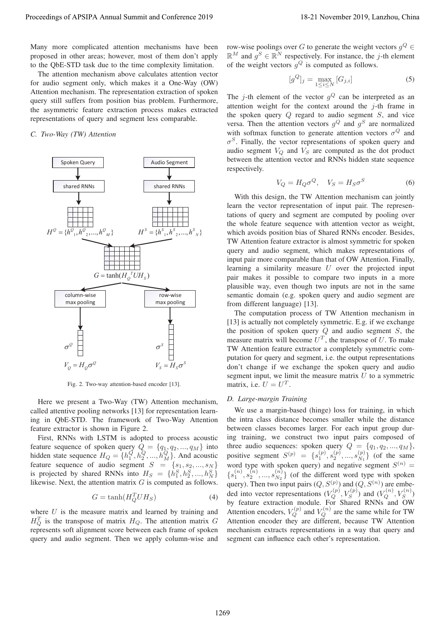Many more complicated attention mechanisms have been proposed in other areas; however, most of them don't apply to the QbE-STD task due to the time complexity limitation.

The attention mechanism above calculates attention vector for audio segment only, which makes it a One-Way (OW) Attention mechanism. The representation extraction of spoken query still suffers from position bias problem. Furthermore, the asymmetric feature extraction process makes extracted representations of query and segment less comparable.

## *C. Two-Way (TW) Attention*



Fig. 2. Two-way attention-based encoder [13].

Here we present a Two-Way (TW) Attention mechanism, called attentive pooling networks [13] for representation learning in QbE-STD. The framework of Two-Way Attention feature extractor is shown in Figure 2.

First, RNNs with LSTM is adopted to process acoustic feature sequence of spoken query  $Q = \{q_1, q_2, ..., q_M\}$  into hidden state sequence  $H_Q = \{h_1^Q, h_2^Q, ..., h_M^Q\}$ . And acoustic feature sequence of audio segment  $S = \{s_1, s_2, ..., s_N\}$ is projected by shared RNNs into  $H_S = \{h_1^S, h_2^S, ..., h_N^S\}$ likewise. Next, the attention matrix  $G$  is computed as follows.

$$
G = \tanh(H_Q^T U H_S) \tag{4}
$$

where  $U$  is the measure matrix and learned by training and  $H_Q^T$  is the transpose of matrix  $H_Q$ . The attention matrix G represents soft alignment score between each frame of spoken query and audio segment. Then we apply column-wise and row-wise poolings over G to generate the weight vectors  $g^Q \in$  $\mathbb{R}^M$  and  $g^S \in \mathbb{R}^N$  respectively. For instance, the j-th element of the weight vectors  $g^Q$  is computed as follows.

$$
[g^Q]_j = \max_{1 \le i \le N} [G_{j,i}] \tag{5}
$$

The j-th element of the vector  $g^{Q}$  can be interpreted as an attention weight for the context around the  $j$ -th frame in the spoken query  $Q$  regard to audio segment  $S$ , and vice versa. Then the attention vectors  $g^{Q}$  and  $g^{S}$  are normalized with softmax function to generate attention vectors  $\sigma$ <sup>Q</sup> and  $\sigma^{S}$ . Finally, the vector representations of spoken query and audio segment  $V_Q$  and  $V_S$  are computed as the dot product between the attention vector and RNNs hidden state sequence respectively.

$$
V_Q = H_Q \sigma^Q, \quad V_S = H_S \sigma^S \tag{6}
$$

With this design, the TW Attention mechanism can jointly learn the vector representation of input pair. The representations of query and segment are computed by pooling over the whole feature sequence with attention vector as weight, which avoids position bias of Shared RNNs encoder. Besides, TW Attention feature extractor is almost symmetric for spoken query and audio segment, which makes representations of input pair more comparable than that of OW Attention. Finally, learning a similarity measure  $U$  over the projected input pair makes it possible to compare two inputs in a more plausible way, even though two inputs are not in the same semantic domain (e.g. spoken query and audio segment are from different language) [13].

The computation process of TW Attention mechanism in [13] is actually not completely symmetric. E.g. if we exchange the position of spoken query  $Q$  and audio segment  $S$ , the measure matrix will become  $U^T$ , the transpose of U. To make TW Attention feature extractor a completely symmetric computation for query and segment, i.e. the output representations don't change if we exchange the spoken query and audio segment input, we limit the measure matrix  $U$  to a symmetric matrix, i.e.  $U = U<sup>T</sup>$ .

## *D. Large-margin Training*

We use a margin-based (hinge) loss for training, in which the intra class distance becomes smaller while the distance between classes becomes larger. For each input group during training, we construct two input pairs composed of three audio sequences: spoken query  $Q = \{q_1, q_2, ..., q_M\},\$ positive segment  $S^{(p)} = \{s_1^{(p)}, s_2^{(p)}, ..., s_{N_1}^{(p)}\}$  $\binom{p}{N_1}$  (of the same word type with spoken query) and negative segment  $S^{(n)}$  =  ${s_1^{(n)}, s_2^{(n)}, ..., s_{N_2}^{(n)}}$  $\binom{n}{N_2}$  (of the different word type with spoken query). Then two input pairs  $(Q, S^{(p)})$  and  $(Q, S^{(n)})$  are embeded into vector representations  $(V_Q^{(p)}, V_S^{(p)})$  and  $(V_Q^{(n)}, V_S^{(n)})$ by feature extraction module. For Shared RNNs and OW Attention encoders,  $V_Q^{(p)}$  and  $V_Q^{(n)}$  are the same while for TW Attention encoder they are different, because TW Attention mechanism extracts representations in a way that query and segment can influence each other's representation.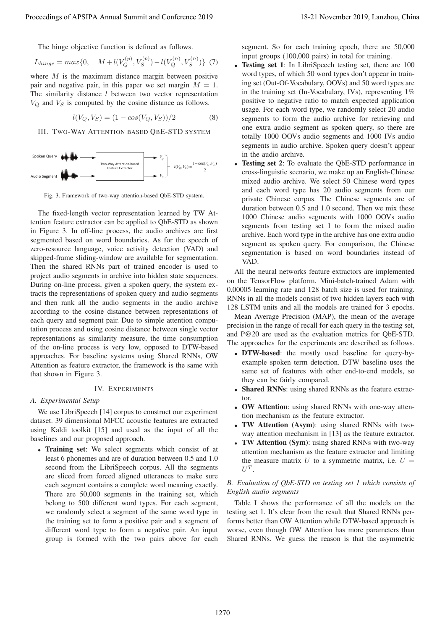The hinge objective function is defined as follows.

$$
L_{hinge} = max\{0, \quad M + l(V_Q^{(p)}, V_S^{(p)}) - l(V_Q^{(n)}, V_S^{(n)})\} (7)
$$

where  $M$  is the maximum distance margin between positive pair and negative pair, in this paper we set margin  $M = 1$ . The similarity distance  $l$  between two vector representation  $V_Q$  and  $V_S$  is computed by the cosine distance as follows.

$$
l(V_Q, V_S) = (1 - \cos(V_Q, V_S))/2 \tag{8}
$$

#### III. TWO-WAY ATTENTION BASED QBE-STD SYSTEM



Fig. 3. Framework of two-way attention-based QbE-STD system.

The fixed-length vector representation learned by TW Attention feature extractor can be applied to QbE-STD as shown in Figure 3. In off-line process, the audio archives are first segmented based on word boundaries. As for the speech of zero-resource language, voice activity detection (VAD) and skipped-frame sliding-window are available for segmentation. Then the shared RNNs part of trained encoder is used to project audio segments in archive into hidden state sequences. During on-line process, given a spoken query, the system extracts the representations of spoken query and audio segments and then rank all the audio segments in the audio archive according to the cosine distance between representations of each query and segment pair. Due to simple attention computation process and using cosine distance between single vector representations as similarity measure, the time consumption of the on-line process is very low, opposed to DTW-based approaches. For baseline systems using Shared RNNs, OW Attention as feature extractor, the framework is the same with that shown in Figure 3. Proceeding of APSIPA Annual Summit at China 18-21 November 2019, 11-22 November 2019, Lanzhou, China 18-21 November 2019, Lanzhou, China 18-21 November 2019, Lanzhou, China 18-21 November 2019, Lanzhou, China 18-21 Novemb

## IV. EXPERIMENTS

#### *A. Experimental Setup*

We use LibriSpeech [14] corpus to construct our experiment dataset. 39 dimensional MFCC acoustic features are extracted using Kaldi toolkit [15] and used as the input of all the baselines and our proposed approach.

• Training set: We select segments which consist of at least 6 phonemes and are of duration between 0.5 and 1.0 second from the LibriSpeech corpus. All the segments are sliced from forced aligned utterances to make sure each segment contains a complete word meaning exactly. There are 50,000 segments in the training set, which belong to 500 different word types. For each segment, we randomly select a segment of the same word type in the training set to form a positive pair and a segment of different word type to form a negative pair. An input group is formed with the two pairs above for each

segment. So for each training epoch, there are 50,000 input groups (100,000 pairs) in total for training.

- **Testing set 1:** In LibriSpeech testing set, there are 100 word types, of which 50 word types don't appear in training set (Out-Of-Vocabulary, OOVs) and 50 word types are in the training set (In-Vocabulary, IVs), representing 1% positive to negative ratio to match expected application usage. For each word type, we randomly select 20 audio segments to form the audio archive for retrieving and one extra audio segment as spoken query, so there are totally 1000 OOVs audio segments and 1000 IVs audio segments in audio archive. Spoken query doesn't appear in the audio archive.
- Testing set 2: To evaluate the QbE-STD performance in cross-linguistic scenario, we make up an English-Chinese mixed audio archive. We select 50 Chinese word types and each word type has 20 audio segments from our private Chinese corpus. The Chinese segments are of duration between 0.5 and 1.0 second. Then we mix these 1000 Chinese audio segments with 1000 OOVs audio segments from testing set 1 to form the mixed audio archive. Each word type in the archive has one extra audio segment as spoken query. For comparison, the Chinese segmentation is based on word boundaries instead of VAD.

All the neural networks feature extractors are implemented on the TensorFlow platform. Mini-batch-trained Adam with 0.00005 learning rate and 128 batch size is used for training. RNNs in all the models consist of two hidden layers each with 128 LSTM units and all the models are trained for 3 epochs.

Mean Average Precision (MAP), the mean of the average precision in the range of recall for each query in the testing set, and P@20 are used as the evaluation metrics for QbE-STD. The approaches for the experiments are described as follows.

- DTW-based: the mostly used baseline for query-byexample spoken term detection. DTW baseline uses the same set of features with other end-to-end models, so they can be fairly compared.
- Shared RNNs: using shared RNNs as the feature extractor.
- OW Attention: using shared RNNs with one-way attention mechanism as the feature extractor.
- TW Attention (Asym): using shared RNNs with twoway attention mechanism in [13] as the feature extractor.
- TW Attention (Sym): using shared RNNs with two-way attention mechanism as the feature extractor and limiting the measure matrix  $U$  to a symmetric matrix, i.e.  $U =$  $U^T$ .

## *B. Evaluation of QbE-STD on testing set 1 which consists of English audio segments*

Table I shows the performance of all the models on the testing set 1. It's clear from the result that Shared RNNs performs better than OW Attention while DTW-based approach is worse, even though OW Attention has more parameters than Shared RNNs. We guess the reason is that the asymmetric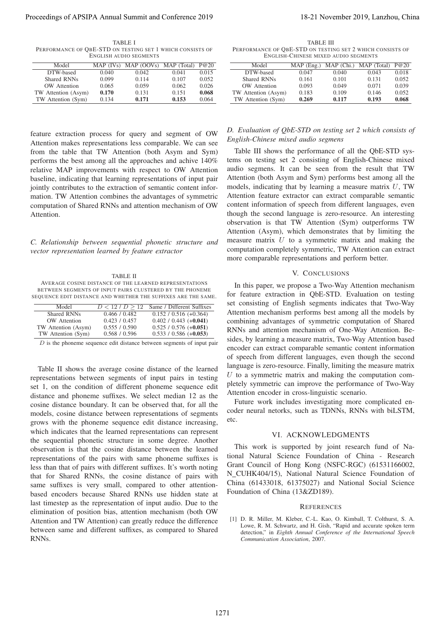TABLE I PERFORMANCE OF QBE-STD ON TESTING SET 1 WHICH CONSISTS OF ENGLISH AUDIO SEGMENTS

| Model               | MAP (IVs) | MAP (OOVs) | MAP (Total) | P@20  |
|---------------------|-----------|------------|-------------|-------|
| DTW-based           | 0.040     | 0.042      | 0.041       | 0.015 |
| Shared RNNs         | 0.099     | 0.114      | 0.107       | 0.052 |
| <b>OW</b> Attention | 0.065     | 0.059      | 0.062       | 0.026 |
| TW Attention (Asym) | 0.170     | 0.131      | 0.151       | 0.068 |
| TW Attention (Sym)  | 0.134     | 0.171      | 0.153       | 0.064 |

feature extraction process for query and segment of OW Attention makes representations less comparable. We can see from the table that TW Attention (both Asym and Sym) performs the best among all the approaches and achive 140% relative MAP improvements with respect to OW Attention baseline, indicating that learning representations of input pair jointly contributes to the extraction of semantic content information. TW Attention combines the advantages of symmetric computation of Shared RNNs and attention mechanism of OW Attention.

*C. Relationship between sequential phonetic structure and vector representation learned by feature extractor*

TABLE II AVERAGE COSINE DISTANCE OF THE LEARNED REPRESENTATIONS BETWEEN SEGMENTS OF INPUT PAIRS CLUSTERED BY THE PHONEME SEQUENCE EDIT DISTANCE AND WHETHER THE SUFFIXES ARE THE SAME.

| Model               | D < 12 / D > 12 | Same / Different Suffixes |
|---------------------|-----------------|---------------------------|
| Shared RNNs         | 0.466 / 0.482   | $0.152 / 0.516 (+0.364)$  |
| <b>OW</b> Attention | 0.423 / 0.457   | $0.402 / 0.443 (+0.041)$  |
| TW Attention (Asym) | 0.555 / 0.590   | $0.525 / 0.576 (+0.051)$  |
| TW Attention (Sym)  | 0.568 / 0.596   | $0.533 / 0.586 (+0.053)$  |

 $D$  is the phoneme sequence edit distance between segments of input pair

Table II shows the average cosine distance of the learned representations between segments of input pairs in testing set 1, on the condition of different phoneme sequence edit distance and phoneme suffixes. We select median 12 as the cosine distance boundary. It can be observed that, for all the models, cosine distance between representations of segments grows with the phoneme sequence edit distance increasing, which indicates that the learned representations can represent the sequential phonetic structure in some degree. Another observation is that the cosine distance between the learned representations of the pairs with same phoneme suffixes is less than that of pairs with different suffixes. It's worth noting that for Shared RNNs, the cosine distance of pairs with same suffixes is very small, compared to other attentionbased encoders because Shared RNNs use hidden state at last timestep as the representation of input audio. Due to the elimination of position bias, attention mechanism (both OW Attention and TW Attention) can greatly reduce the difference between same and different suffixes, as compared to Shared RNNs. Proceeding of APSIPA Annual Summit and Conference 2019<br>
Proceedings of APSIPA Annual Summit and Conference 2019 18-21 November 2019 18-21 November 2019 18-21 November 2019<br>
Proceeding the Conference 2019 18-21 November 20

TABLE III PERFORMANCE OF QBE-STD ON TESTING SET 2 WHICH CONSISTS OF ENGLISH-CHINESE MIXED AUDIO SEGMENTS

| Model               | MAP (Eng.) |       | MAP (Chi.) MAP (Total) | P@20  |
|---------------------|------------|-------|------------------------|-------|
| DTW-based           | 0.047      | 0.040 | 0.043                  | 0.018 |
| <b>Shared RNNs</b>  | 0.161      | 0.101 | 0.131                  | 0.052 |
| <b>OW</b> Attention | 0.093      | 0.049 | 0.071                  | 0.039 |
| TW Attention (Asym) | 0.183      | 0.109 | 0.146                  | 0.052 |
| TW Attention (Sym)  | 0.269      | 0.117 | 0.193                  | 0.068 |

## *D. Evaluation of QbE-STD on testing set 2 which consists of English-Chinese mixed audio segmens*

Table III shows the performance of all the QbE-STD systems on testing set 2 consisting of English-Chinese mixed audio segmens. It can be seen from the result that TW Attention (both Asym and Sym) performs best among all the models, indicating that by learning a measure matrix  $U$ , TW Attention feature extractor can extract comparable semantic content information of speech from different languages, even though the second language is zero-resource. An interesting observation is that TW Attention (Sym) outperforms TW Attention (Asym), which demonstrates that by limiting the measure matrix  $U$  to a symmetric matrix and making the computation completely symmetric, TW Attention can extract more comparable representations and perform better.

#### V. CONCLUSIONS

In this paper, we propose a Two-Way Attention mechanism for feature extraction in QbE-STD. Evaluation on testing set consisting of English segments indicates that Two-Way Attention mechanism performs best among all the models by combining advantages of symmetric computation of Shared RNNs and attention mechanism of One-Way Attention. Besides, by learning a measure matrix, Two-Way Attention based encoder can extract comparable semantic content information of speech from different languages, even though the second language is zero-resource. Finally, limiting the measure matrix  $U$  to a symmetric matrix and making the computation completely symmetric can improve the performance of Two-Way Attention encoder in cross-linguistic scenario.

Future work includes investigating more complicated encoder neural netorks, such as TDNNs, RNNs with biLSTM, etc.

#### VI. ACKNOWLEDGMENTS

This work is supported by joint research fund of National Natural Science Foundation of China - Research Grant Council of Hong Kong (NSFC-RGC) (61531166002, N\_CUHK404/15), National Natural Science Foundation of China (61433018, 61375027) and National Social Science Foundation of China (13&ZD189).

#### **REFERENCES**

[1] D. R. Miller, M. Kleber, C.-L. Kao, O. Kimball, T. Colthurst, S. A. Lowe, R. M. Schwartz, and H. Gish, "Rapid and accurate spoken term detection," in *Eighth Annual Conference of the International Speech Communication Association*, 2007.